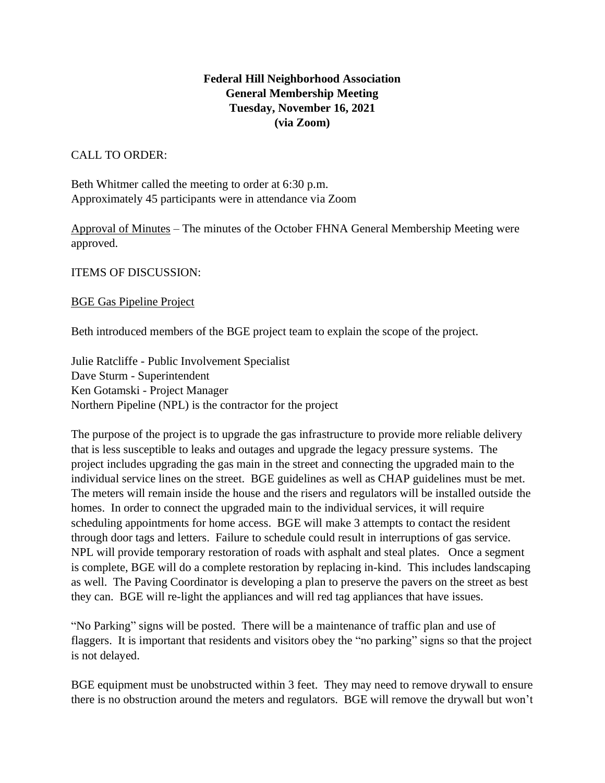# **Federal Hill Neighborhood Association General Membership Meeting Tuesday, November 16, 2021 (via Zoom)**

### CALL TO ORDER:

Beth Whitmer called the meeting to order at 6:30 p.m. Approximately 45 participants were in attendance via Zoom

Approval of Minutes – The minutes of the October FHNA General Membership Meeting were approved.

ITEMS OF DISCUSSION:

### BGE Gas Pipeline Project

Beth introduced members of the BGE project team to explain the scope of the project.

Julie Ratcliffe - Public Involvement Specialist Dave Sturm - Superintendent Ken Gotamski - Project Manager Northern Pipeline (NPL) is the contractor for the project

The purpose of the project is to upgrade the gas infrastructure to provide more reliable delivery that is less susceptible to leaks and outages and upgrade the legacy pressure systems. The project includes upgrading the gas main in the street and connecting the upgraded main to the individual service lines on the street. BGE guidelines as well as CHAP guidelines must be met. The meters will remain inside the house and the risers and regulators will be installed outside the homes. In order to connect the upgraded main to the individual services, it will require scheduling appointments for home access. BGE will make 3 attempts to contact the resident through door tags and letters. Failure to schedule could result in interruptions of gas service. NPL will provide temporary restoration of roads with asphalt and steal plates. Once a segment is complete, BGE will do a complete restoration by replacing in-kind. This includes landscaping as well. The Paving Coordinator is developing a plan to preserve the pavers on the street as best they can. BGE will re-light the appliances and will red tag appliances that have issues.

"No Parking" signs will be posted. There will be a maintenance of traffic plan and use of flaggers. It is important that residents and visitors obey the "no parking" signs so that the project is not delayed.

BGE equipment must be unobstructed within 3 feet. They may need to remove drywall to ensure there is no obstruction around the meters and regulators. BGE will remove the drywall but won't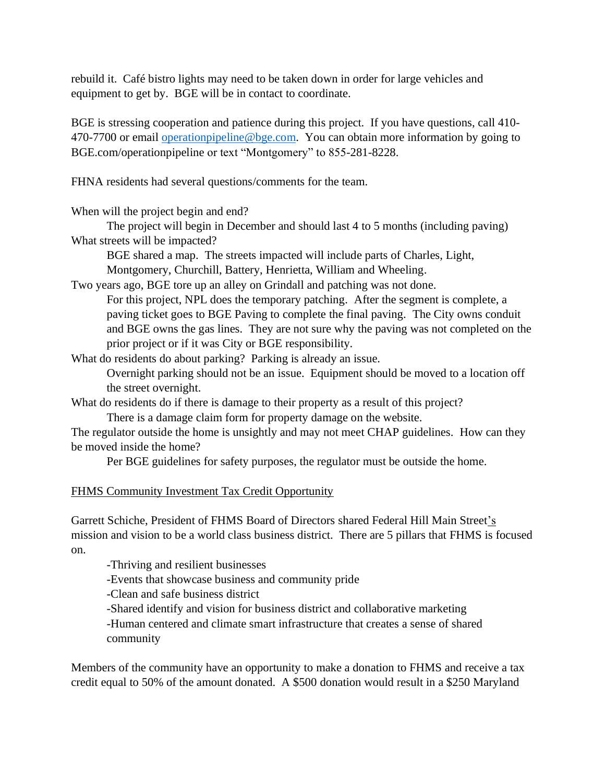rebuild it. Café bistro lights may need to be taken down in order for large vehicles and equipment to get by. BGE will be in contact to coordinate.

BGE is stressing cooperation and patience during this project. If you have questions, call 410- 470-7700 or email [operationpipeline@bge.com.](mailto:operationpipeline@bge.com) You can obtain more information by going to BGE.com/operationpipeline or text "Montgomery" to 855-281-8228.

FHNA residents had several questions/comments for the team.

When will the project begin and end?

The project will begin in December and should last 4 to 5 months (including paving) What streets will be impacted?

BGE shared a map. The streets impacted will include parts of Charles, Light, Montgomery, Churchill, Battery, Henrietta, William and Wheeling.

Two years ago, BGE tore up an alley on Grindall and patching was not done. For this project, NPL does the temporary patching. After the segment is complete, a paving ticket goes to BGE Paving to complete the final paving. The City owns conduit and BGE owns the gas lines. They are not sure why the paving was not completed on the prior project or if it was City or BGE responsibility.

What do residents do about parking? Parking is already an issue.

Overnight parking should not be an issue. Equipment should be moved to a location off the street overnight.

What do residents do if there is damage to their property as a result of this project? There is a damage claim form for property damage on the website.

The regulator outside the home is unsightly and may not meet CHAP guidelines. How can they be moved inside the home?

Per BGE guidelines for safety purposes, the regulator must be outside the home.

# FHMS Community Investment Tax Credit Opportunity

Garrett Schiche, President of FHMS Board of Directors shared Federal Hill Main Street's mission and vision to be a world class business district. There are 5 pillars that FHMS is focused on.

-Thriving and resilient businesses

-Events that showcase business and community pride

-Clean and safe business district

-Shared identify and vision for business district and collaborative marketing

-Human centered and climate smart infrastructure that creates a sense of shared community

Members of the community have an opportunity to make a donation to FHMS and receive a tax credit equal to 50% of the amount donated. A \$500 donation would result in a \$250 Maryland